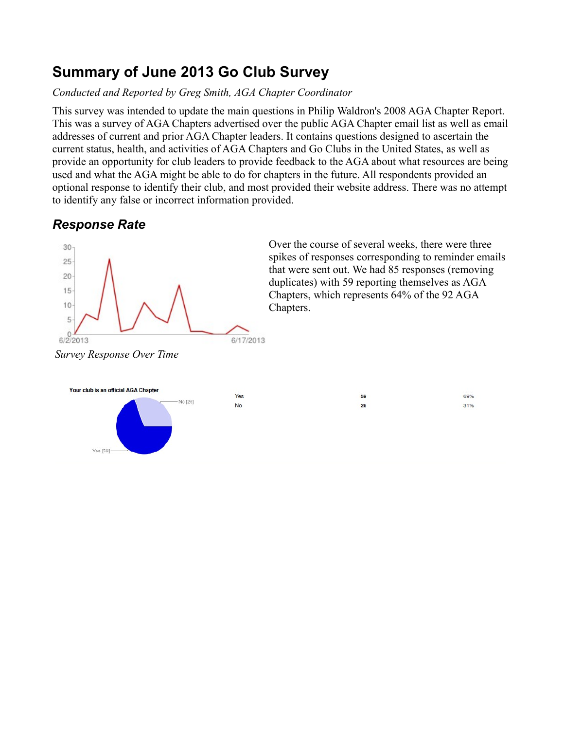# **Summary of June 2013 Go Club Survey**

### *Conducted and Reported by Greg Smith, AGA Chapter Coordinator*

This survey was intended to update the main questions in Philip Waldron's 2008 AGA Chapter Report. This was a survey of AGA Chapters advertised over the public AGA Chapter email list as well as email addresses of current and prior AGA Chapter leaders. It contains questions designed to ascertain the current status, health, and activities of AGA Chapters and Go Clubs in the United States, as well as provide an opportunity for club leaders to provide feedback to the AGA about what resources are being used and what the AGA might be able to do for chapters in the future. All respondents provided an optional response to identify their club, and most provided their website address. There was no attempt to identify any false or incorrect information provided.

# *Response Rate*

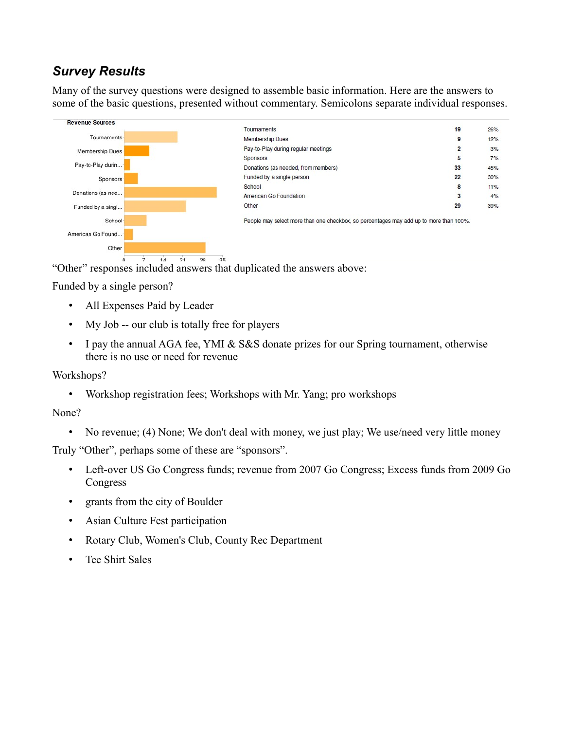## *Survey Results*

Many of the survey questions were designed to assemble basic information. Here are the answers to some of the basic questions, presented without commentary. Semicolons separate individual responses.



"Other" responses included answers that duplicated the answers above:

Funded by a single person?

- All Expenses Paid by Leader
- My Job -- our club is totally free for players
- I pay the annual AGA fee, YMI & S&S donate prizes for our Spring tournament, otherwise there is no use or need for revenue

#### Workshops?

• Workshop registration fees; Workshops with Mr. Yang; pro workshops

#### None?

• No revenue; (4) None; We don't deal with money, we just play; We use/need very little money

Truly "Other", perhaps some of these are "sponsors".

- Left-over US Go Congress funds; revenue from 2007 Go Congress; Excess funds from 2009 Go Congress
- grants from the city of Boulder
- Asian Culture Fest participation
- Rotary Club, Women's Club, County Rec Department
- Tee Shirt Sales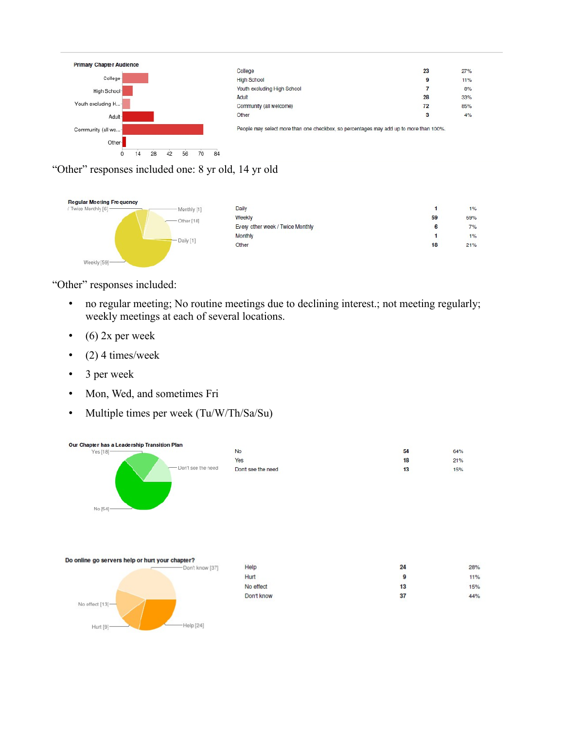

"Other" responses included one: 8 yr old, 14 yr old



"Other" responses included:

- no regular meeting; No routine meetings due to declining interest.; not meeting regularly; weekly meetings at each of several locations.
- $\bullet$  (6) 2x per week
- $(2)$  4 times/week
- 3 per week
- Mon, Wed, and sometimes Fri
- Multiple times per week (Tu/W/Th/Sa/Su)

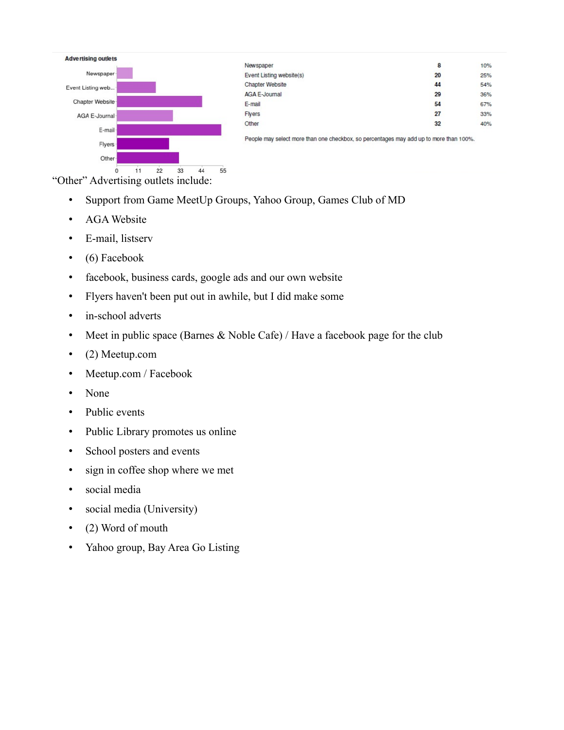

"Other" Advertising outlets include:

- Support from Game MeetUp Groups, Yahoo Group, Games Club of MD
- AGA Website
- E-mail, listserv
- (6) Facebook
- facebook, business cards, google ads and our own website
- Flyers haven't been put out in awhile, but I did make some
- in-school adverts
- Meet in public space (Barnes  $& \text{Noble Cafe}$ ) / Have a facebook page for the club
- (2) Meetup.com
- Meetup.com / Facebook
- None
- Public events
- Public Library promotes us online
- School posters and events
- sign in coffee shop where we met
- social media
- social media (University)
- (2) Word of mouth
- Yahoo group, Bay Area Go Listing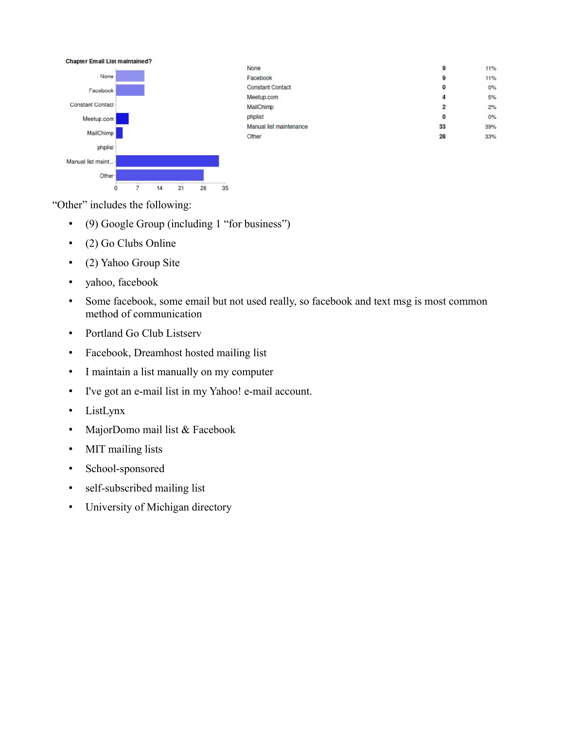

"Other" includes the following:

 $\alpha$ 

 $\frac{1}{7}$ 

 $14$ 

• (9) Google Group (including 1 "for business")

 $21$ 

 $28$ 

 $35$ 

- (2) Go Clubs Online
- (2) Yahoo Group Site
- yahoo, facebook
- Some facebook, some email but not used really, so facebook and text msg is most common method of communication
- Portland Go Club Listserv
- Facebook, Dreamhost hosted mailing list
- I maintain a list manually on my computer
- I've got an e-mail list in my Yahoo! e-mail account.
- ListLynx
- MajorDomo mail list & Facebook
- MIT mailing lists
- School-sponsored
- self-subscribed mailing list
- University of Michigan directory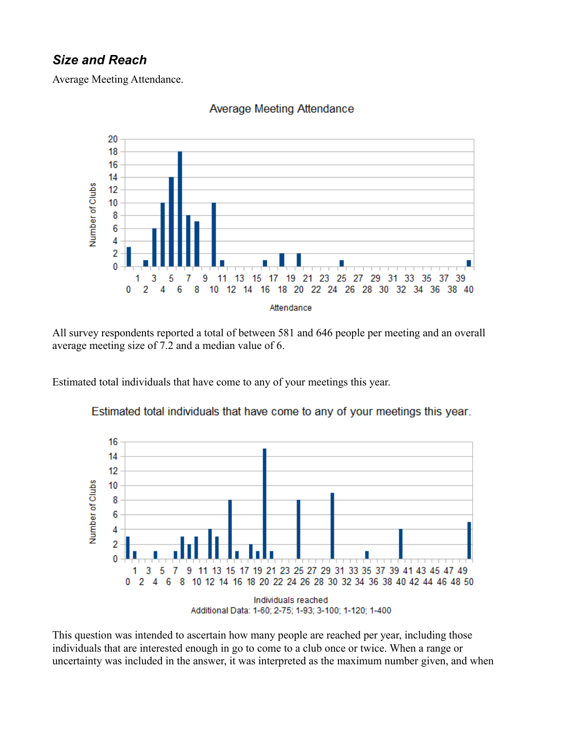### *Size and Reach*

Average Meeting Attendance.



#### **Average Meeting Attendance**

All survey respondents reported a total of between 581 and 646 people per meeting and an overall average meeting size of 7.2 and a median value of 6.

Estimated total individuals that have come to any of your meetings this year.



Estimated total individuals that have come to any of your meetings this year.

This question was intended to ascertain how many people are reached per year, including those individuals that are interested enough in go to come to a club once or twice. When a range or uncertainty was included in the answer, it was interpreted as the maximum number given, and when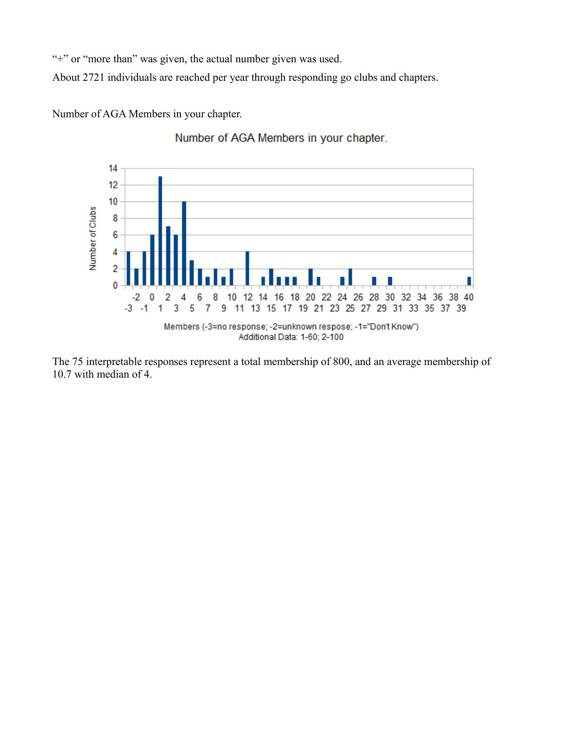"+" or "more than" was given, the actual number given was used.

About 2721 individuals are reached per year through responding go clubs and chapters.

Number of AGA Members in your chapter.



Number of AGA Members in your chapter.

The 75 interpretable responses represent a total membership of 800, and an average membership of 10.7 with median of 4.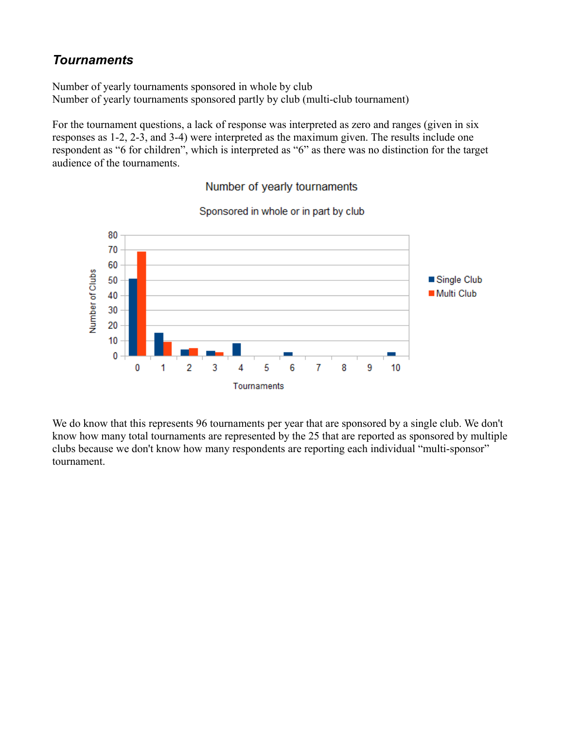### *Tournaments*

Number of yearly tournaments sponsored in whole by club Number of yearly tournaments sponsored partly by club (multi-club tournament)

For the tournament questions, a lack of response was interpreted as zero and ranges (given in six responses as 1-2, 2-3, and 3-4) were interpreted as the maximum given. The results include one respondent as "6 for children", which is interpreted as "6" as there was no distinction for the target audience of the tournaments.



## Sponsored in whole or in part by club

Number of yearly tournaments

We do know that this represents 96 tournaments per year that are sponsored by a single club. We don't know how many total tournaments are represented by the 25 that are reported as sponsored by multiple clubs because we don't know how many respondents are reporting each individual "multi-sponsor" tournament.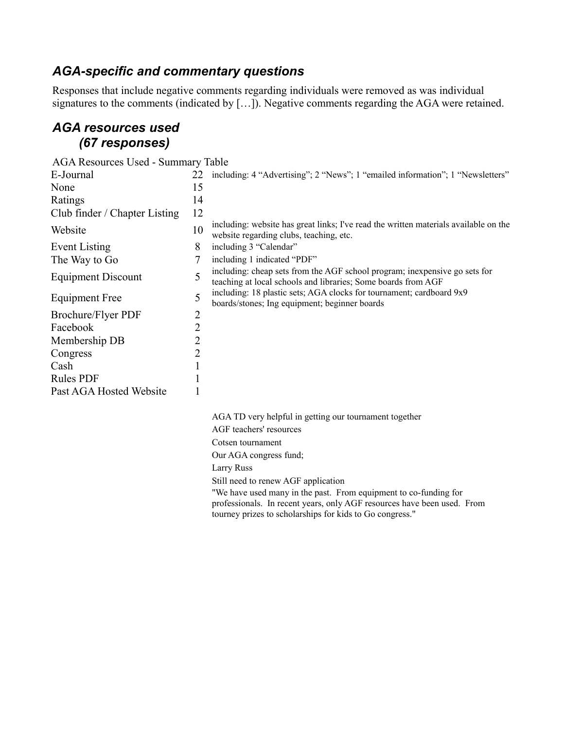### *AGA-specific and commentary questions*

Responses that include negative comments regarding individuals were removed as was individual signatures to the comments (indicated by [...]). Negative comments regarding the AGA were retained.

### *AGA resources used (67 responses)*

| AGA Resources Used - Summary Table |    |                                                                                                                                             |
|------------------------------------|----|---------------------------------------------------------------------------------------------------------------------------------------------|
| E-Journal                          | 22 | including: 4 "Advertising"; 2 "News"; 1 "emailed information"; 1 "Newsletters"                                                              |
| None                               | 15 |                                                                                                                                             |
| Ratings                            | 14 |                                                                                                                                             |
| Club finder / Chapter Listing      | 12 |                                                                                                                                             |
| Website                            | 10 | including: website has great links; I've read the written materials available on the<br>website regarding clubs, teaching, etc.             |
| Event Listing                      | 8  | including 3 "Calendar"                                                                                                                      |
| The Way to Go                      |    | including 1 indicated "PDF"                                                                                                                 |
| <b>Equipment Discount</b>          | 5  | including: cheap sets from the AGF school program; inexpensive go sets for<br>teaching at local schools and libraries; Some boards from AGF |
| Equipment Free                     |    | including: 18 plastic sets; AGA clocks for tournament; cardboard 9x9<br>boards/stones; Ing equipment; beginner boards                       |
| <b>Brochure/Flyer PDF</b>          |    |                                                                                                                                             |
| Facebook                           | 2  |                                                                                                                                             |
| Membership DB                      |    |                                                                                                                                             |
| Congress                           | 2  |                                                                                                                                             |
| Cash                               |    |                                                                                                                                             |
| <b>Rules PDF</b>                   |    |                                                                                                                                             |
| Past AGA Hosted Website            |    |                                                                                                                                             |

AGA TD very helpful in getting our tournament together AGF teachers' resources Cotsen tournament Our AGA congress fund; Larry Russ Still need to renew AGF application "We have used many in the past. From equipment to co-funding for professionals. In recent years, only AGF resources have been used. From tourney prizes to scholarships for kids to Go congress."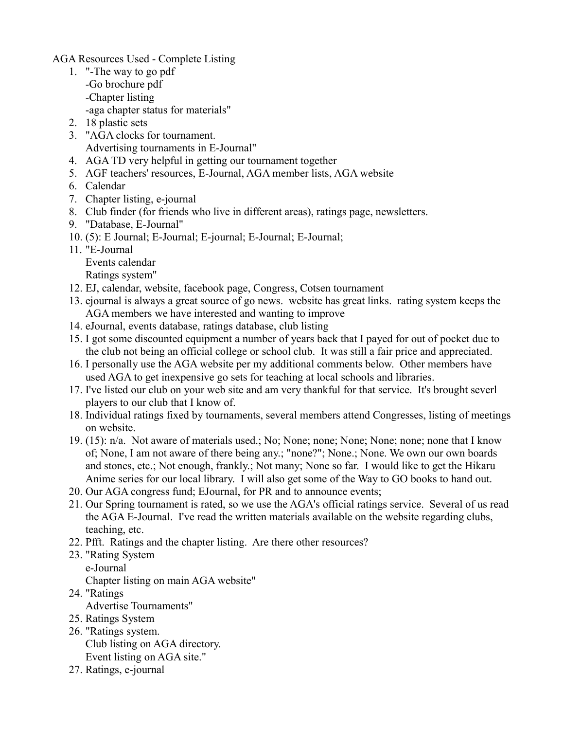AGA Resources Used - Complete Listing

- 1. "-The way to go pdf -Go brochure pdf -Chapter listing -aga chapter status for materials"
- 2. 18 plastic sets
- 3. "AGA clocks for tournament. Advertising tournaments in E-Journal"
- 4. AGA TD very helpful in getting our tournament together
- 5. AGF teachers' resources, E-Journal, AGA member lists, AGA website
- 6. Calendar
- 7. Chapter listing, e-journal
- 8. Club finder (for friends who live in different areas), ratings page, newsletters.
- 9. "Database, E-Journal"
- 10. (5): E Journal; E-Journal; E-journal; E-Journal; E-Journal;
- 11. "E-Journal Events calendar Ratings system"
- 12. EJ, calendar, website, facebook page, Congress, Cotsen tournament
- 13. ejournal is always a great source of go news. website has great links. rating system keeps the AGA members we have interested and wanting to improve
- 14. eJournal, events database, ratings database, club listing
- 15. I got some discounted equipment a number of years back that I payed for out of pocket due to the club not being an official college or school club. It was still a fair price and appreciated.
- 16. I personally use the AGA website per my additional comments below. Other members have used AGA to get inexpensive go sets for teaching at local schools and libraries.
- 17. I've listed our club on your web site and am very thankful for that service. It's brought severl players to our club that I know of.
- 18. Individual ratings fixed by tournaments, several members attend Congresses, listing of meetings on website.
- 19. (15): n/a. Not aware of materials used.; No; None; none; None; None; none; none that I know of; None, I am not aware of there being any.; "none?"; None.; None. We own our own boards and stones, etc.; Not enough, frankly.; Not many; None so far. I would like to get the Hikaru Anime series for our local library. I will also get some of the Way to GO books to hand out.
- 20. Our AGA congress fund; EJournal, for PR and to announce events;
- 21. Our Spring tournament is rated, so we use the AGA's official ratings service. Several of us read the AGA E-Journal. I've read the written materials available on the website regarding clubs, teaching, etc.
- 22. Pfft. Ratings and the chapter listing. Are there other resources?
- 23. "Rating System e-Journal Chapter listing on main AGA website"
- 24. "Ratings Advertise Tournaments"
- 25. Ratings System
- 26. "Ratings system. Club listing on AGA directory. Event listing on AGA site."
- 27. Ratings, e-journal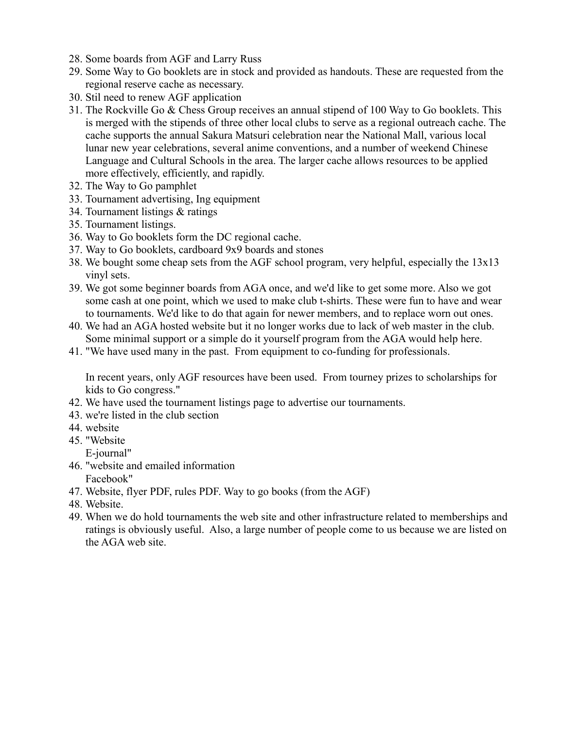- 28. Some boards from AGF and Larry Russ
- 29. Some Way to Go booklets are in stock and provided as handouts. These are requested from the regional reserve cache as necessary.
- 30. Stil need to renew AGF application
- 31. The Rockville Go & Chess Group receives an annual stipend of 100 Way to Go booklets. This is merged with the stipends of three other local clubs to serve as a regional outreach cache. The cache supports the annual Sakura Matsuri celebration near the National Mall, various local lunar new year celebrations, several anime conventions, and a number of weekend Chinese Language and Cultural Schools in the area. The larger cache allows resources to be applied more effectively, efficiently, and rapidly.
- 32. The Way to Go pamphlet
- 33. Tournament advertising, Ing equipment
- 34. Tournament listings & ratings
- 35. Tournament listings.
- 36. Way to Go booklets form the DC regional cache.
- 37. Way to Go booklets, cardboard 9x9 boards and stones
- 38. We bought some cheap sets from the AGF school program, very helpful, especially the 13x13 vinyl sets.
- 39. We got some beginner boards from AGA once, and we'd like to get some more. Also we got some cash at one point, which we used to make club t-shirts. These were fun to have and wear to tournaments. We'd like to do that again for newer members, and to replace worn out ones.
- 40. We had an AGA hosted website but it no longer works due to lack of web master in the club. Some minimal support or a simple do it yourself program from the AGA would help here.
- 41. "We have used many in the past. From equipment to co-funding for professionals.

In recent years, only AGF resources have been used. From tourney prizes to scholarships for kids to Go congress."

- 42. We have used the tournament listings page to advertise our tournaments.
- 43. we're listed in the club section
- 44. website
- 45. "Website
- E-journal"
- 46. "website and emailed information Facebook"
- 47. Website, flyer PDF, rules PDF. Way to go books (from the AGF)
- 48. Website.
- 49. When we do hold tournaments the web site and other infrastructure related to memberships and ratings is obviously useful. Also, a large number of people come to us because we are listed on the AGA web site.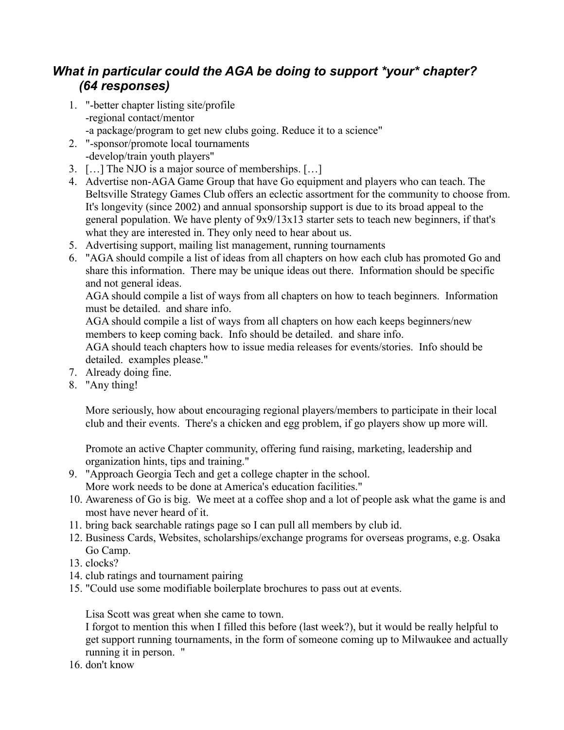## *What in particular could the AGA be doing to support \*your\* chapter? (64 responses)*

- 1. "-better chapter listing site/profile -regional contact/mentor -a package/program to get new clubs going. Reduce it to a science"
- 2. "-sponsor/promote local tournaments -develop/train youth players"
- 3. […] The NJO is a major source of memberships. […]
- 4. Advertise non-AGA Game Group that have Go equipment and players who can teach. The Beltsville Strategy Games Club offers an eclectic assortment for the community to choose from. It's longevity (since 2002) and annual sponsorship support is due to its broad appeal to the general population. We have plenty of 9x9/13x13 starter sets to teach new beginners, if that's what they are interested in. They only need to hear about us.
- 5. Advertising support, mailing list management, running tournaments
- 6. "AGA should compile a list of ideas from all chapters on how each club has promoted Go and share this information. There may be unique ideas out there. Information should be specific and not general ideas.

AGA should compile a list of ways from all chapters on how to teach beginners. Information must be detailed. and share info.

AGA should compile a list of ways from all chapters on how each keeps beginners/new members to keep coming back. Info should be detailed. and share info.

AGA should teach chapters how to issue media releases for events/stories. Info should be detailed. examples please."

- 7. Already doing fine.
- 8. "Any thing!

More seriously, how about encouraging regional players/members to participate in their local club and their events. There's a chicken and egg problem, if go players show up more will.

Promote an active Chapter community, offering fund raising, marketing, leadership and organization hints, tips and training."

- 9. "Approach Georgia Tech and get a college chapter in the school. More work needs to be done at America's education facilities."
- 10. Awareness of Go is big. We meet at a coffee shop and a lot of people ask what the game is and most have never heard of it.
- 11. bring back searchable ratings page so I can pull all members by club id.
- 12. Business Cards, Websites, scholarships/exchange programs for overseas programs, e.g. Osaka Go Camp.
- 13. clocks?
- 14. club ratings and tournament pairing
- 15. "Could use some modifiable boilerplate brochures to pass out at events.

Lisa Scott was great when she came to town.

I forgot to mention this when I filled this before (last week?), but it would be really helpful to get support running tournaments, in the form of someone coming up to Milwaukee and actually running it in person. "

16. don't know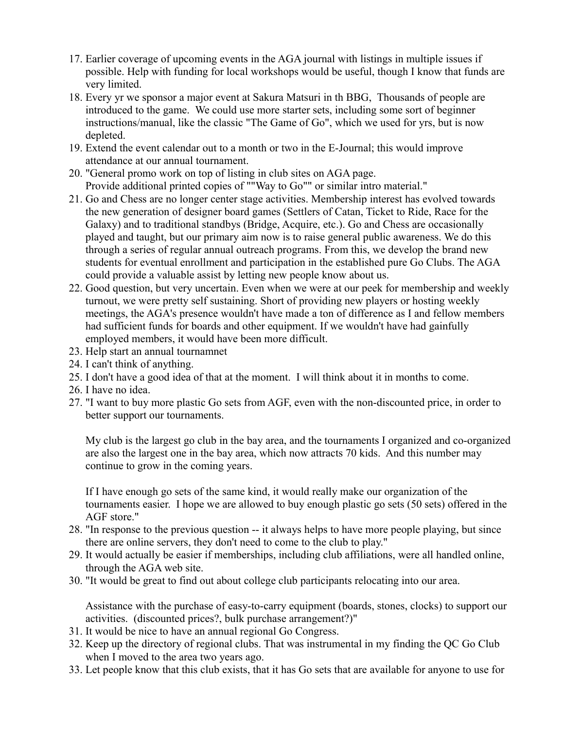- 17. Earlier coverage of upcoming events in the AGA journal with listings in multiple issues if possible. Help with funding for local workshops would be useful, though I know that funds are very limited.
- 18. Every yr we sponsor a major event at Sakura Matsuri in th BBG, Thousands of people are introduced to the game. We could use more starter sets, including some sort of beginner instructions/manual, like the classic "The Game of Go", which we used for yrs, but is now depleted.
- 19. Extend the event calendar out to a month or two in the E-Journal; this would improve attendance at our annual tournament.
- 20. "General promo work on top of listing in club sites on AGA page. Provide additional printed copies of ""Way to Go"" or similar intro material."
- 21. Go and Chess are no longer center stage activities. Membership interest has evolved towards the new generation of designer board games (Settlers of Catan, Ticket to Ride, Race for the Galaxy) and to traditional standbys (Bridge, Acquire, etc.). Go and Chess are occasionally played and taught, but our primary aim now is to raise general public awareness. We do this through a series of regular annual outreach programs. From this, we develop the brand new students for eventual enrollment and participation in the established pure Go Clubs. The AGA could provide a valuable assist by letting new people know about us.
- 22. Good question, but very uncertain. Even when we were at our peek for membership and weekly turnout, we were pretty self sustaining. Short of providing new players or hosting weekly meetings, the AGA's presence wouldn't have made a ton of difference as I and fellow members had sufficient funds for boards and other equipment. If we wouldn't have had gainfully employed members, it would have been more difficult.
- 23. Help start an annual tournamnet
- 24. I can't think of anything.
- 25. I don't have a good idea of that at the moment. I will think about it in months to come.
- 26. I have no idea.
- 27. "I want to buy more plastic Go sets from AGF, even with the non-discounted price, in order to better support our tournaments.

My club is the largest go club in the bay area, and the tournaments I organized and co-organized are also the largest one in the bay area, which now attracts 70 kids. And this number may continue to grow in the coming years.

If I have enough go sets of the same kind, it would really make our organization of the tournaments easier. I hope we are allowed to buy enough plastic go sets (50 sets) offered in the AGF store."

- 28. "In response to the previous question -- it always helps to have more people playing, but since there are online servers, they don't need to come to the club to play."
- 29. It would actually be easier if memberships, including club affiliations, were all handled online, through the AGA web site.
- 30. "It would be great to find out about college club participants relocating into our area.

Assistance with the purchase of easy-to-carry equipment (boards, stones, clocks) to support our activities. (discounted prices?, bulk purchase arrangement?)"

- 31. It would be nice to have an annual regional Go Congress.
- 32. Keep up the directory of regional clubs. That was instrumental in my finding the QC Go Club when I moved to the area two years ago.
- 33. Let people know that this club exists, that it has Go sets that are available for anyone to use for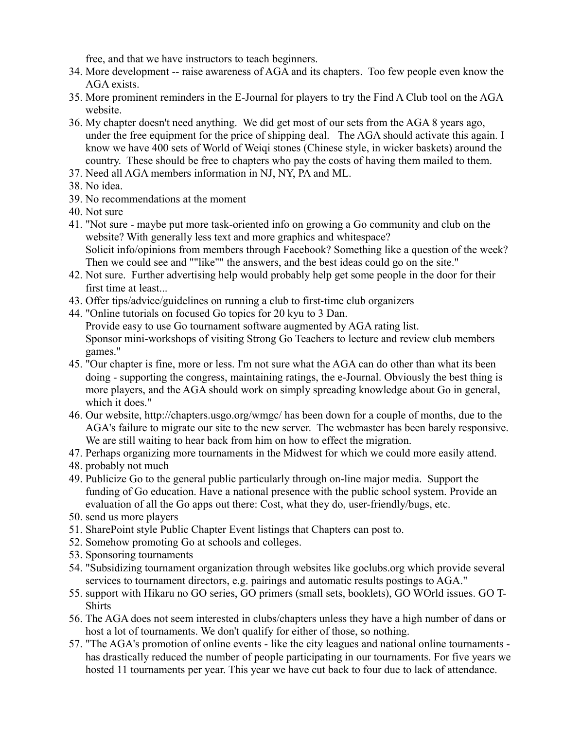free, and that we have instructors to teach beginners.

- 34. More development -- raise awareness of AGA and its chapters. Too few people even know the AGA exists.
- 35. More prominent reminders in the E-Journal for players to try the Find A Club tool on the AGA website.
- 36. My chapter doesn't need anything. We did get most of our sets from the AGA 8 years ago, under the free equipment for the price of shipping deal. The AGA should activate this again. I know we have 400 sets of World of Weiqi stones (Chinese style, in wicker baskets) around the country. These should be free to chapters who pay the costs of having them mailed to them.
- 37. Need all AGA members information in NJ, NY, PA and ML.
- 38. No idea.
- 39. No recommendations at the moment
- 40. Not sure
- 41. "Not sure maybe put more task-oriented info on growing a Go community and club on the website? With generally less text and more graphics and whitespace? Solicit info/opinions from members through Facebook? Something like a question of the week? Then we could see and ""like"" the answers, and the best ideas could go on the site."
- 42. Not sure. Further advertising help would probably help get some people in the door for their first time at least...
- 43. Offer tips/advice/guidelines on running a club to first-time club organizers
- 44. "Online tutorials on focused Go topics for 20 kyu to 3 Dan. Provide easy to use Go tournament software augmented by AGA rating list. Sponsor mini-workshops of visiting Strong Go Teachers to lecture and review club members games."
- 45. "Our chapter is fine, more or less. I'm not sure what the AGA can do other than what its been doing - supporting the congress, maintaining ratings, the e-Journal. Obviously the best thing is more players, and the AGA should work on simply spreading knowledge about Go in general, which it does."
- 46. Our website, http://chapters.usgo.org/wmgc/ has been down for a couple of months, due to the AGA's failure to migrate our site to the new server. The webmaster has been barely responsive. We are still waiting to hear back from him on how to effect the migration.
- 47. Perhaps organizing more tournaments in the Midwest for which we could more easily attend.
- 48. probably not much
- 49. Publicize Go to the general public particularly through on-line major media. Support the funding of Go education. Have a national presence with the public school system. Provide an evaluation of all the Go apps out there: Cost, what they do, user-friendly/bugs, etc.
- 50. send us more players
- 51. SharePoint style Public Chapter Event listings that Chapters can post to.
- 52. Somehow promoting Go at schools and colleges.
- 53. Sponsoring tournaments
- 54. "Subsidizing tournament organization through websites like goclubs.org which provide several services to tournament directors, e.g. pairings and automatic results postings to AGA."
- 55. support with Hikaru no GO series, GO primers (small sets, booklets), GO WOrld issues. GO T-**Shirts**
- 56. The AGA does not seem interested in clubs/chapters unless they have a high number of dans or host a lot of tournaments. We don't qualify for either of those, so nothing.
- 57. "The AGA's promotion of online events like the city leagues and national online tournaments has drastically reduced the number of people participating in our tournaments. For five years we hosted 11 tournaments per year. This year we have cut back to four due to lack of attendance.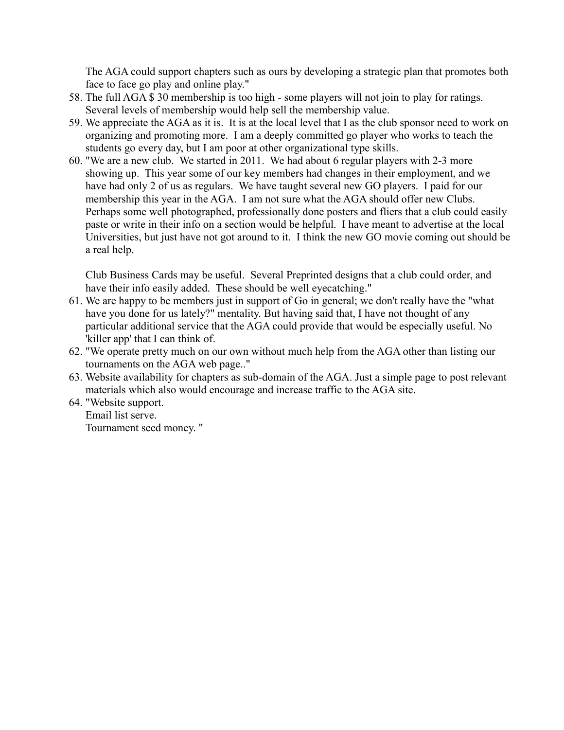The AGA could support chapters such as ours by developing a strategic plan that promotes both face to face go play and online play."

- 58. The full AGA \$ 30 membership is too high some players will not join to play for ratings. Several levels of membership would help sell the membership value.
- 59. We appreciate the AGA as it is. It is at the local level that I as the club sponsor need to work on organizing and promoting more. I am a deeply committed go player who works to teach the students go every day, but I am poor at other organizational type skills.
- 60. "We are a new club. We started in 2011. We had about 6 regular players with 2-3 more showing up. This year some of our key members had changes in their employment, and we have had only 2 of us as regulars. We have taught several new GO players. I paid for our membership this year in the AGA. I am not sure what the AGA should offer new Clubs. Perhaps some well photographed, professionally done posters and fliers that a club could easily paste or write in their info on a section would be helpful. I have meant to advertise at the local Universities, but just have not got around to it. I think the new GO movie coming out should be a real help.

Club Business Cards may be useful. Several Preprinted designs that a club could order, and have their info easily added. These should be well eyecatching."

- 61. We are happy to be members just in support of Go in general; we don't really have the "what have you done for us lately?" mentality. But having said that, I have not thought of any particular additional service that the AGA could provide that would be especially useful. No 'killer app' that I can think of.
- 62. "We operate pretty much on our own without much help from the AGA other than listing our tournaments on the AGA web page.."
- 63. Website availability for chapters as sub-domain of the AGA. Just a simple page to post relevant materials which also would encourage and increase traffic to the AGA site.
- 64. "Website support. Email list serve. Tournament seed money. "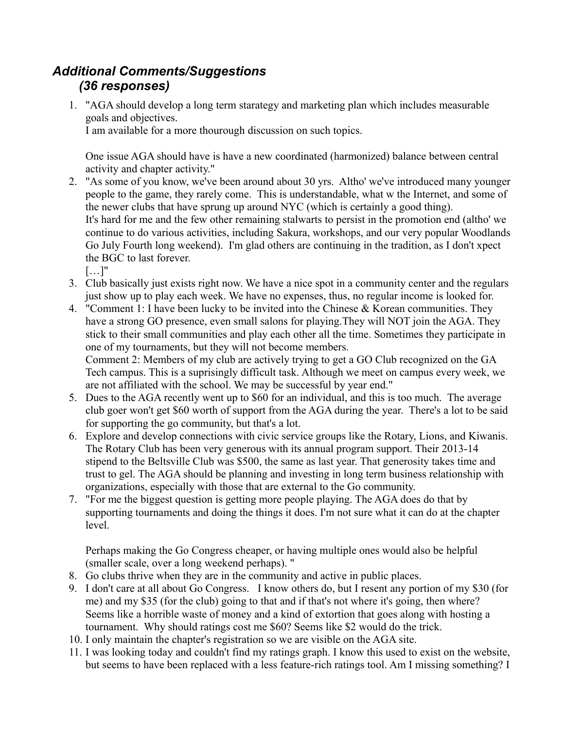## *Additional Comments/Suggestions (36 responses)*

1. "AGA should develop a long term starategy and marketing plan which includes measurable goals and objectives. I am available for a more thourough discussion on such topics.

One issue AGA should have is have a new coordinated (harmonized) balance between central activity and chapter activity."

- 2. "As some of you know, we've been around about 30 yrs. Altho' we've introduced many younger people to the game, they rarely come. This is understandable, what w the Internet, and some of the newer clubs that have sprung up around NYC (which is certainly a good thing). It's hard for me and the few other remaining stalwarts to persist in the promotion end (altho' we continue to do various activities, including Sakura, workshops, and our very popular Woodlands Go July Fourth long weekend). I'm glad others are continuing in the tradition, as I don't xpect the BGC to last forever.
	- […]"
- 3. Club basically just exists right now. We have a nice spot in a community center and the regulars just show up to play each week. We have no expenses, thus, no regular income is looked for.
- 4. "Comment 1: I have been lucky to be invited into the Chinese & Korean communities. They have a strong GO presence, even small salons for playing. They will NOT join the AGA. They stick to their small communities and play each other all the time. Sometimes they participate in one of my tournaments, but they will not become members. Comment 2: Members of my club are actively trying to get a GO Club recognized on the GA Tech campus. This is a suprisingly difficult task. Although we meet on campus every week, we are not affiliated with the school. We may be successful by year end."
- 5. Dues to the AGA recently went up to \$60 for an individual, and this is too much. The average club goer won't get \$60 worth of support from the AGA during the year. There's a lot to be said for supporting the go community, but that's a lot.
- 6. Explore and develop connections with civic service groups like the Rotary, Lions, and Kiwanis. The Rotary Club has been very generous with its annual program support. Their 2013-14 stipend to the Beltsville Club was \$500, the same as last year. That generosity takes time and trust to gel. The AGA should be planning and investing in long term business relationship with organizations, especially with those that are external to the Go community.
- 7. "For me the biggest question is getting more people playing. The AGA does do that by supporting tournaments and doing the things it does. I'm not sure what it can do at the chapter level.

Perhaps making the Go Congress cheaper, or having multiple ones would also be helpful (smaller scale, over a long weekend perhaps). "

- 8. Go clubs thrive when they are in the community and active in public places.
- 9. I don't care at all about Go Congress. I know others do, but I resent any portion of my \$30 (for me) and my \$35 (for the club) going to that and if that's not where it's going, then where? Seems like a horrible waste of money and a kind of extortion that goes along with hosting a tournament. Why should ratings cost me \$60? Seems like \$2 would do the trick.
- 10. I only maintain the chapter's registration so we are visible on the AGA site.
- 11. I was looking today and couldn't find my ratings graph. I know this used to exist on the website, but seems to have been replaced with a less feature-rich ratings tool. Am I missing something? I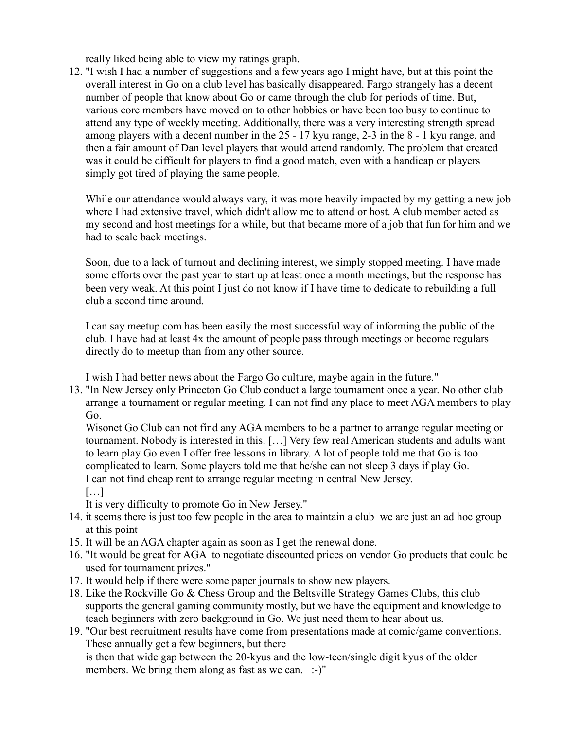really liked being able to view my ratings graph.

12. "I wish I had a number of suggestions and a few years ago I might have, but at this point the overall interest in Go on a club level has basically disappeared. Fargo strangely has a decent number of people that know about Go or came through the club for periods of time. But, various core members have moved on to other hobbies or have been too busy to continue to attend any type of weekly meeting. Additionally, there was a very interesting strength spread among players with a decent number in the 25 - 17 kyu range, 2-3 in the 8 - 1 kyu range, and then a fair amount of Dan level players that would attend randomly. The problem that created was it could be difficult for players to find a good match, even with a handicap or players simply got tired of playing the same people.

While our attendance would always vary, it was more heavily impacted by my getting a new job where I had extensive travel, which didn't allow me to attend or host. A club member acted as my second and host meetings for a while, but that became more of a job that fun for him and we had to scale back meetings.

Soon, due to a lack of turnout and declining interest, we simply stopped meeting. I have made some efforts over the past year to start up at least once a month meetings, but the response has been very weak. At this point I just do not know if I have time to dedicate to rebuilding a full club a second time around.

I can say meetup.com has been easily the most successful way of informing the public of the club. I have had at least 4x the amount of people pass through meetings or become regulars directly do to meetup than from any other source.

I wish I had better news about the Fargo Go culture, maybe again in the future."

13. "In New Jersey only Princeton Go Club conduct a large tournament once a year. No other club arrange a tournament or regular meeting. I can not find any place to meet AGA members to play Go.

Wisonet Go Club can not find any AGA members to be a partner to arrange regular meeting or tournament. Nobody is interested in this. […] Very few real American students and adults want to learn play Go even I offer free lessons in library. A lot of people told me that Go is too complicated to learn. Some players told me that he/she can not sleep 3 days if play Go. I can not find cheap rent to arrange regular meeting in central New Jersey. […]

It is very difficulty to promote Go in New Jersey."

- 14. it seems there is just too few people in the area to maintain a club we are just an ad hoc group at this point
- 15. It will be an AGA chapter again as soon as I get the renewal done.
- 16. "It would be great for AGA to negotiate discounted prices on vendor Go products that could be used for tournament prizes."
- 17. It would help if there were some paper journals to show new players.
- 18. Like the Rockville Go & Chess Group and the Beltsville Strategy Games Clubs, this club supports the general gaming community mostly, but we have the equipment and knowledge to teach beginners with zero background in Go. We just need them to hear about us.

19. "Our best recruitment results have come from presentations made at comic/game conventions. These annually get a few beginners, but there is then that wide gap between the 20-kyus and the low-teen/single digit kyus of the older members. We bring them along as fast as we can. :-)"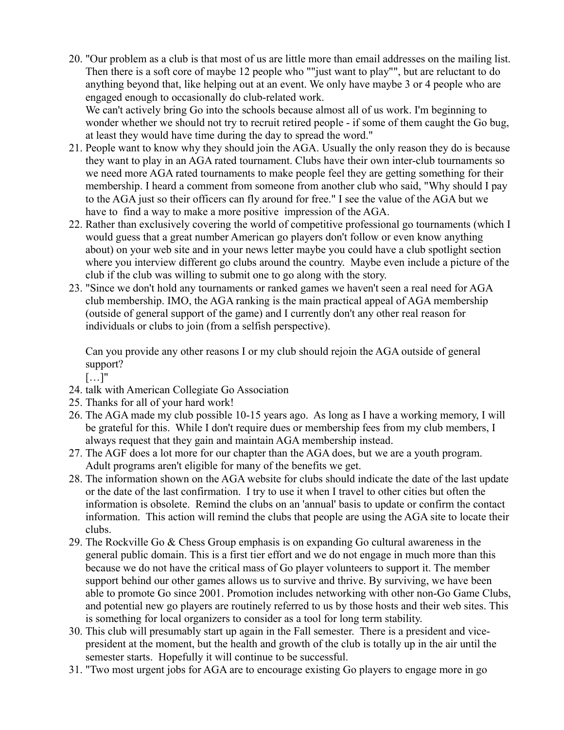20. "Our problem as a club is that most of us are little more than email addresses on the mailing list. Then there is a soft core of maybe 12 people who ""just want to play"", but are reluctant to do anything beyond that, like helping out at an event. We only have maybe 3 or 4 people who are engaged enough to occasionally do club-related work.

We can't actively bring Go into the schools because almost all of us work. I'm beginning to wonder whether we should not try to recruit retired people - if some of them caught the Go bug, at least they would have time during the day to spread the word."

- 21. People want to know why they should join the AGA. Usually the only reason they do is because they want to play in an AGA rated tournament. Clubs have their own inter-club tournaments so we need more AGA rated tournaments to make people feel they are getting something for their membership. I heard a comment from someone from another club who said, "Why should I pay to the AGA just so their officers can fly around for free." I see the value of the AGA but we have to find a way to make a more positive impression of the AGA.
- 22. Rather than exclusively covering the world of competitive professional go tournaments (which I would guess that a great number American go players don't follow or even know anything about) on your web site and in your news letter maybe you could have a club spotlight section where you interview different go clubs around the country. Maybe even include a picture of the club if the club was willing to submit one to go along with the story.
- 23. "Since we don't hold any tournaments or ranked games we haven't seen a real need for AGA club membership. IMO, the AGA ranking is the main practical appeal of AGA membership (outside of general support of the game) and I currently don't any other real reason for individuals or clubs to join (from a selfish perspective).

Can you provide any other reasons I or my club should rejoin the AGA outside of general support?

 $[\ldots]$ "

- 24. talk with American Collegiate Go Association
- 25. Thanks for all of your hard work!
- 26. The AGA made my club possible 10-15 years ago. As long as I have a working memory, I will be grateful for this. While I don't require dues or membership fees from my club members, I always request that they gain and maintain AGA membership instead.
- 27. The AGF does a lot more for our chapter than the AGA does, but we are a youth program. Adult programs aren't eligible for many of the benefits we get.
- 28. The information shown on the AGA website for clubs should indicate the date of the last update or the date of the last confirmation. I try to use it when I travel to other cities but often the information is obsolete. Remind the clubs on an 'annual' basis to update or confirm the contact information. This action will remind the clubs that people are using the AGA site to locate their clubs.
- 29. The Rockville Go & Chess Group emphasis is on expanding Go cultural awareness in the general public domain. This is a first tier effort and we do not engage in much more than this because we do not have the critical mass of Go player volunteers to support it. The member support behind our other games allows us to survive and thrive. By surviving, we have been able to promote Go since 2001. Promotion includes networking with other non-Go Game Clubs, and potential new go players are routinely referred to us by those hosts and their web sites. This is something for local organizers to consider as a tool for long term stability.
- 30. This club will presumably start up again in the Fall semester. There is a president and vicepresident at the moment, but the health and growth of the club is totally up in the air until the semester starts. Hopefully it will continue to be successful.
- 31. "Two most urgent jobs for AGA are to encourage existing Go players to engage more in go